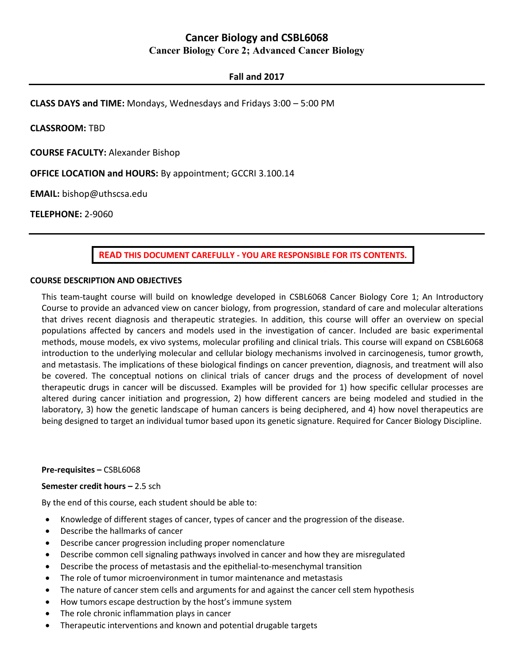# **Cancer Biology and CSBL6068 Cancer Biology Core 2; Advanced Cancer Biology**

## **Fall and 2017**

**CLASS DAYS and TIME:** Mondays, Wednesdays and Fridays 3:00 – 5:00 PM

**CLASSROOM:** TBD

**COURSE FACULTY:** Alexander Bishop

**OFFICE LOCATION and HOURS:** By appointment; GCCRI 3.100.14

**EMAIL:** bishop@uthscsa.edu

**TELEPHONE:** 2-9060

**READ THIS DOCUMENT CAREFULLY - YOU ARE RESPONSIBLE FOR ITS CONTENTS.**

## **COURSE DESCRIPTION AND OBJECTIVES**

This team-taught course will build on knowledge developed in CSBL6068 Cancer Biology Core 1; An Introductory Course to provide an advanced view on cancer biology, from progression, standard of care and molecular alterations that drives recent diagnosis and therapeutic strategies. In addition, this course will offer an overview on special populations affected by cancers and models used in the investigation of cancer. Included are basic experimental methods, mouse models, ex vivo systems, molecular profiling and clinical trials. This course will expand on CSBL6068 introduction to the underlying molecular and cellular biology mechanisms involved in carcinogenesis, tumor growth, and metastasis. The implications of these biological findings on cancer prevention, diagnosis, and treatment will also be covered. The conceptual notions on clinical trials of cancer drugs and the process of development of novel therapeutic drugs in cancer will be discussed. Examples will be provided for 1) how specific cellular processes are altered during cancer initiation and progression, 2) how different cancers are being modeled and studied in the laboratory, 3) how the genetic landscape of human cancers is being deciphered, and 4) how novel therapeutics are being designed to target an individual tumor based upon its genetic signature. Required for Cancer Biology Discipline.

## **Pre-requisites –** CSBL6068

## **Semester credit hours –** 2.5 sch

By the end of this course, each student should be able to:

- Knowledge of different stages of cancer, types of cancer and the progression of the disease.
- Describe the hallmarks of cancer
- Describe cancer progression including proper nomenclature
- Describe common cell signaling pathways involved in cancer and how they are misregulated
- Describe the process of metastasis and the epithelial-to-mesenchymal transition
- The role of tumor microenvironment in tumor maintenance and metastasis
- The nature of cancer stem cells and arguments for and against the cancer cell stem hypothesis
- How tumors escape destruction by the host's immune system
- The role chronic inflammation plays in cancer
- Therapeutic interventions and known and potential drugable targets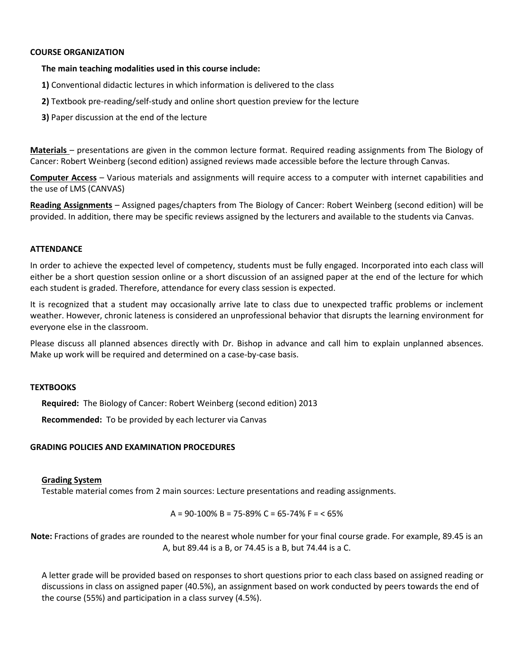## **COURSE ORGANIZATION**

## **The main teaching modalities used in this course include:**

- **1)** Conventional didactic lectures in which information is delivered to the class
- **2)** Textbook pre-reading/self‐study and online short question preview for the lecture
- **3)** Paper discussion at the end of the lecture

**Materials** – presentations are given in the common lecture format. Required reading assignments from The Biology of Cancer: Robert Weinberg (second edition) assigned reviews made accessible before the lecture through Canvas.

**Computer Access** – Various materials and assignments will require access to a computer with internet capabilities and the use of LMS (CANVAS)

**Reading Assignments** – Assigned pages/chapters from The Biology of Cancer: Robert Weinberg (second edition) will be provided. In addition, there may be specific reviews assigned by the lecturers and available to the students via Canvas.

## **ATTENDANCE**

In order to achieve the expected level of competency, students must be fully engaged. Incorporated into each class will either be a short question session online or a short discussion of an assigned paper at the end of the lecture for which each student is graded. Therefore, attendance for every class session is expected.

It is recognized that a student may occasionally arrive late to class due to unexpected traffic problems or inclement weather. However, chronic lateness is considered an unprofessional behavior that disrupts the learning environment for everyone else in the classroom.

Please discuss all planned absences directly with Dr. Bishop in advance and call him to explain unplanned absences. Make up work will be required and determined on a case-by-case basis.

## **TEXTBOOKS**

**Required:** The Biology of Cancer: Robert Weinberg (second edition) 2013

**Recommended:** To be provided by each lecturer via Canvas

## **GRADING POLICIES AND EXAMINATION PROCEDURES**

## **Grading System**

Testable material comes from 2 main sources: Lecture presentations and reading assignments.

 $A = 90-100\% B = 75-89\% C = 65-74\% F = 65\%$ 

**Note:** Fractions of grades are rounded to the nearest whole number for your final course grade. For example, 89.45 is an A, but 89.44 is a B, or 74.45 is a B, but 74.44 is a C.

A letter grade will be provided based on responses to short questions prior to each class based on assigned reading or discussions in class on assigned paper (40.5%), an assignment based on work conducted by peers towards the end of the course (55%) and participation in a class survey (4.5%).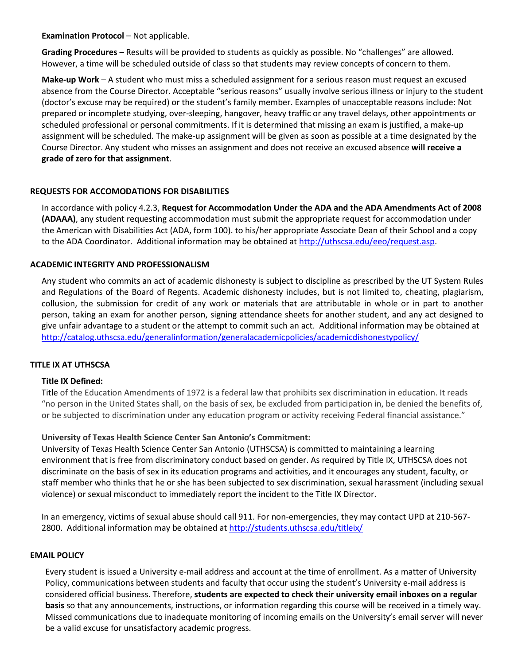**Examination Protocol - Not applicable.** 

**Grading Procedures** – Results will be provided to students as quickly as possible. No "challenges" are allowed. However, a time will be scheduled outside of class so that students may review concepts of concern to them.

**Make‐up Work** – A student who must miss a scheduled assignment for a serious reason must request an excused absence from the Course Director. Acceptable "serious reasons" usually involve serious illness or injury to the student (doctor's excuse may be required) or the student's family member. Examples of unacceptable reasons include: Not prepared or incomplete studying, over‐sleeping, hangover, heavy traffic or any travel delays, other appointments or scheduled professional or personal commitments. If it is determined that missing an exam is justified, a make‐up assignment will be scheduled. The make‐up assignment will be given as soon as possible at a time designated by the Course Director. Any student who misses an assignment and does not receive an excused absence **will receive a grade of zero for that assignment**.

## **REQUESTS FOR ACCOMODATIONS FOR DISABILITIES**

In accordance with policy 4.2.3, **Request for Accommodation Under the ADA and the ADA Amendments Act of 2008 (ADAAA)**, any student requesting accommodation must submit the appropriate request for accommodation under the American with Disabilities Act (ADA, form 100). to his/her appropriate Associate Dean of their School and a copy to the ADA Coordinator. Additional information may be obtained at [http://uthscsa.edu/eeo/request.asp.](http://uthscsa.edu/eeo/request.asp)

## **ACADEMIC INTEGRITY AND PROFESSIONALISM**

Any student who commits an act of academic dishonesty is subject to discipline as prescribed by the UT System Rules and Regulations of the Board of Regents. Academic dishonesty includes, but is not limited to, cheating, plagiarism, collusion, the submission for credit of any work or materials that are attributable in whole or in part to another person, taking an exam for another person, signing attendance sheets for another student, and any act designed to give unfair advantage to a student or the attempt to commit such an act. Additional information may be obtained at <http://catalog.uthscsa.edu/generalinformation/generalacademicpolicies/academicdishonestypolicy/>

## **TITLE IX AT UTHSCSA**

## **Title IX Defined:**

Title of the Education Amendments of 1972 is a federal law that prohibits sex discrimination in education. It reads "no person in the United States shall, on the basis of sex, be excluded from participation in, be denied the benefits of, or be subjected to discrimination under any education program or activity receiving Federal financial assistance."

## **University of Texas Health Science Center San Antonio's Commitment:**

University of Texas Health Science Center San Antonio (UTHSCSA) is committed to maintaining a learning environment that is free from discriminatory conduct based on gender. As required by Title IX, UTHSCSA does not discriminate on the basis of sex in its education programs and activities, and it encourages any student, faculty, or staff member who thinks that he or she has been subjected to sex discrimination, sexual harassment (including sexual violence) or sexual misconduct to immediately report the incident to the Title IX Director.

In an emergency, victims of sexual abuse should call 911. For non-emergencies, they may contact UPD at 210-567 2800. Additional information may be obtained at<http://students.uthscsa.edu/titleix/>

## **EMAIL POLICY**

Every student is issued a University e‐mail address and account at the time of enrollment. As a matter of University Policy, communications between students and faculty that occur using the student's University e-mail address is considered official business. Therefore, **students are expected to check their university email inboxes on a regular basis** so that any announcements, instructions, or information regarding this course will be received in a timely way. Missed communications due to inadequate monitoring of incoming emails on the University's email server will never be a valid excuse for unsatisfactory academic progress.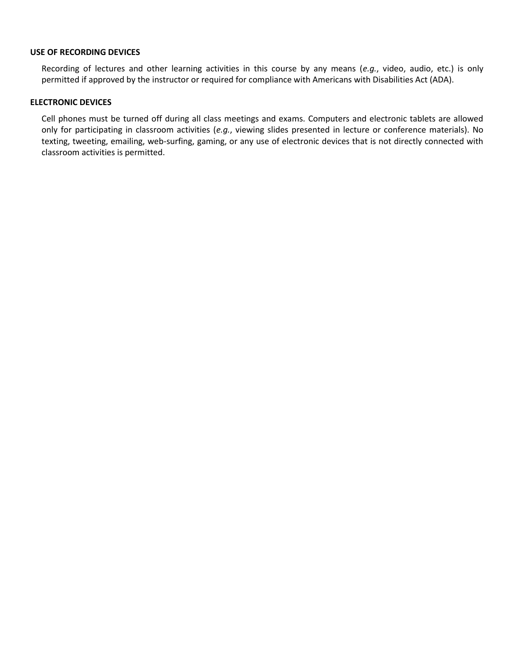## **USE OF RECORDING DEVICES**

Recording of lectures and other learning activities in this course by any means (*e.g.*, video, audio, etc.) is only permitted if approved by the instructor or required for compliance with Americans with Disabilities Act (ADA).

## **ELECTRONIC DEVICES**

Cell phones must be turned off during all class meetings and exams. Computers and electronic tablets are allowed only for participating in classroom activities (*e.g.*, viewing slides presented in lecture or conference materials). No texting, tweeting, emailing, web-surfing, gaming, or any use of electronic devices that is not directly connected with classroom activities is permitted.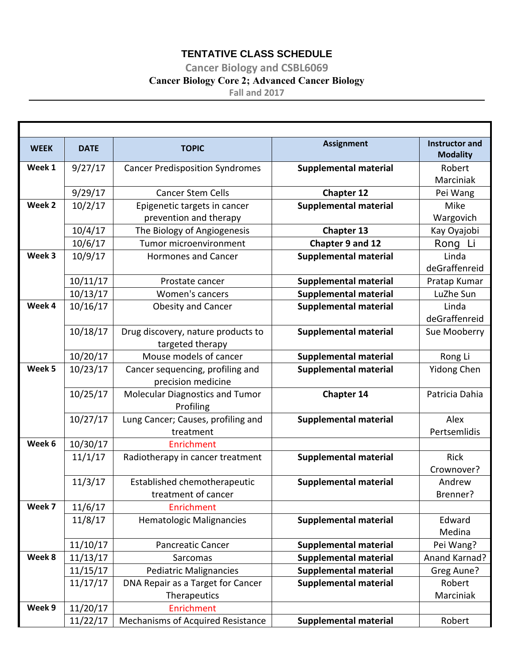# **TENTATIVE CLASS SCHEDULE**

**Cancer Biology and CSBL6069**

# **Cancer Biology Core 2; Advanced Cancer Biology**

**Fall and 2017** 

| <b>WEEK</b> | <b>DATE</b> | <b>TOPIC</b>                           | <b>Assignment</b>            | <b>Instructor and</b><br><b>Modality</b> |
|-------------|-------------|----------------------------------------|------------------------------|------------------------------------------|
| Week 1      | 9/27/17     | <b>Cancer Predisposition Syndromes</b> | <b>Supplemental material</b> | Robert                                   |
|             |             |                                        |                              | Marciniak                                |
|             | 9/29/17     | <b>Cancer Stem Cells</b>               | <b>Chapter 12</b>            | Pei Wang                                 |
| Week 2      | 10/2/17     | Epigenetic targets in cancer           | <b>Supplemental material</b> | Mike                                     |
|             |             | prevention and therapy                 |                              | Wargovich                                |
|             | 10/4/17     | The Biology of Angiogenesis            | <b>Chapter 13</b>            | Kay Oyajobi                              |
|             | 10/6/17     | Tumor microenvironment                 | Chapter 9 and 12             | Rong Li                                  |
| Week 3      | 10/9/17     | <b>Hormones and Cancer</b>             | <b>Supplemental material</b> | Linda                                    |
|             |             |                                        |                              | deGraffenreid                            |
|             | 10/11/17    | Prostate cancer                        | <b>Supplemental material</b> | Pratap Kumar                             |
|             | 10/13/17    | Women's cancers                        | <b>Supplemental material</b> | LuZhe Sun                                |
| Week 4      | 10/16/17    | <b>Obesity and Cancer</b>              | <b>Supplemental material</b> | Linda                                    |
|             |             |                                        |                              | deGraffenreid                            |
|             | 10/18/17    | Drug discovery, nature products to     | <b>Supplemental material</b> | Sue Mooberry                             |
|             |             | targeted therapy                       |                              |                                          |
|             | 10/20/17    | Mouse models of cancer                 | <b>Supplemental material</b> | Rong Li                                  |
| Week 5      | 10/23/17    | Cancer sequencing, profiling and       | <b>Supplemental material</b> | <b>Yidong Chen</b>                       |
|             |             | precision medicine                     |                              |                                          |
|             | 10/25/17    | <b>Molecular Diagnostics and Tumor</b> | <b>Chapter 14</b>            | Patricia Dahia                           |
|             |             | Profiling                              |                              |                                          |
|             | 10/27/17    | Lung Cancer; Causes, profiling and     | <b>Supplemental material</b> | Alex                                     |
|             |             | treatment                              |                              | Pertsemlidis                             |
| Week 6      | 10/30/17    | Enrichment                             |                              |                                          |
|             | 11/1/17     | Radiotherapy in cancer treatment       | <b>Supplemental material</b> | Rick                                     |
|             |             |                                        |                              | Crownover?                               |
|             | 11/3/17     | Established chemotherapeutic           | <b>Supplemental material</b> | Andrew                                   |
|             |             | treatment of cancer                    |                              | Brenner?                                 |
| Week 7      | 11/6/17     | Enrichment                             |                              |                                          |
|             | 11/8/17     | <b>Hematologic Malignancies</b>        | <b>Supplemental material</b> | Edward                                   |
|             |             |                                        |                              | Medina                                   |
|             | 11/10/17    | <b>Pancreatic Cancer</b>               | <b>Supplemental material</b> | Pei Wang?                                |
| Week 8      | 11/13/17    | Sarcomas                               | <b>Supplemental material</b> | Anand Karnad?                            |
|             | 11/15/17    | <b>Pediatric Malignancies</b>          | <b>Supplemental material</b> | Greg Aune?                               |
|             | 11/17/17    | DNA Repair as a Target for Cancer      | <b>Supplemental material</b> | Robert                                   |
|             |             | Therapeutics                           |                              | Marciniak                                |
| Week 9      | 11/20/17    | <b>Enrichment</b>                      |                              |                                          |
|             | 11/22/17    | Mechanisms of Acquired Resistance      | <b>Supplemental material</b> | Robert                                   |